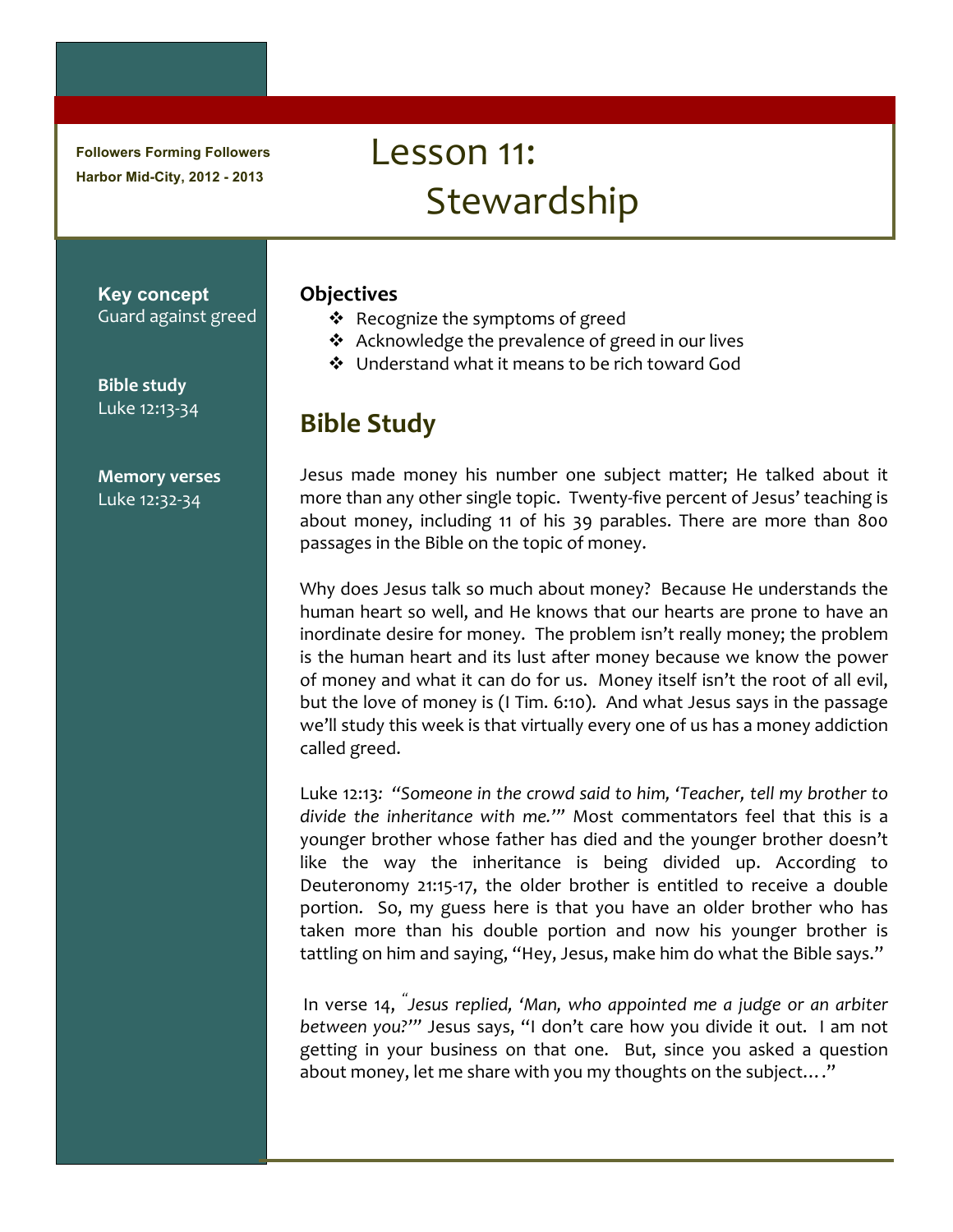**Followers Forming Followers Harbor Mid-City, 2012 - 2013**

# Lesson 11: **Stewardship**

#### **Key concept** Guard against greed

**Bible study** Luke 12:13-34

**Memory verses** Luke 12:32-34

### **Objectives**

- ❖ Recognize the symptoms of greed
- $\triangle$  Acknowledge the prevalence of greed in our lives
- ❖ Understand what it means to be rich toward God

## **Bible Study**

Jesus made money his number one subject matter; He talked about it more than any other single topic. Twenty-five percent of Jesus' teaching is about money, including 11 of his 39 parables. There are more than 800 passages in the Bible on the topic of money.

Why does Jesus talk so much about money? Because He understands the human heart so well, and He knows that our hearts are prone to have an inordinate desire for money. The problem isn't really money; the problem is the human heart and its lust after money because we know the power of money and what it can do for us. Money itself isn't the root of all evil, but the love of money is (I Tim. 6:10). And what Jesus says in the passage we'll study this week is that virtually every one of us has a money addiction called greed.

Luke 12:13: "Someone in the crowd said to him, 'Teacher, tell my brother to divide the inheritance with me."" Most commentators feel that this is a younger brother whose father has died and the younger brother doesn't like the way the inheritance is being divided up. According to Deuteronomy 21:15-17, the older brother is entitled to receive a double portion. So, my guess here is that you have an older brother who has taken more than his double portion and now his younger brother is tattling on him and saying, "Hey, Jesus, make him do what the Bible says."

In verse 14, <sup>"</sup>Jesus replied, 'Man, who appointed me a judge or an arbiter between you?'" Jesus says, "I don't care how you divide it out. I am not getting in your business on that one. But, since you asked a question about money, let me share with you my thoughts on the subject...."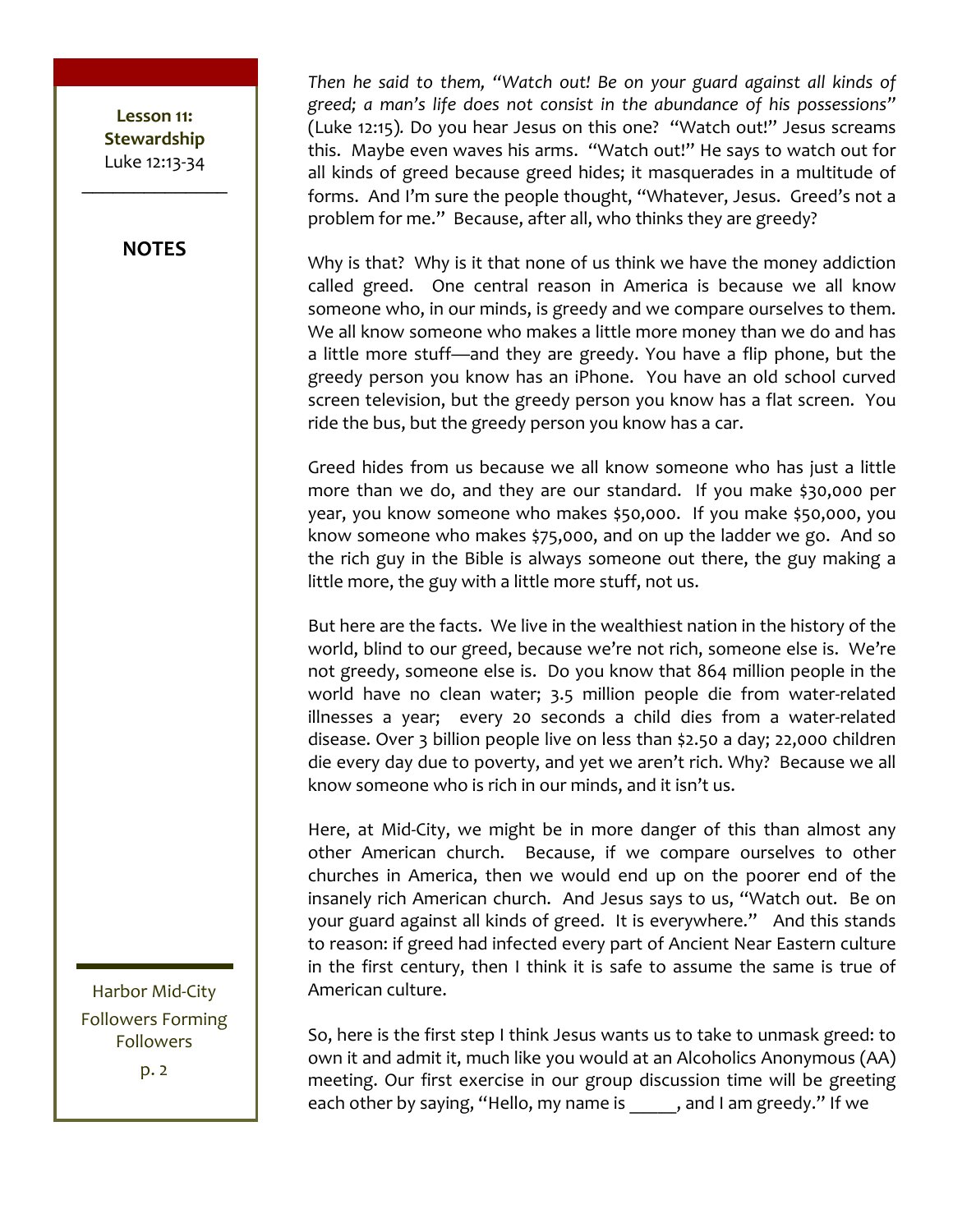#### **NOTES**

Then he said to them, "Watch out! Be on your guard against all kinds of *greed; a man's life does not consist in the abundance of his possessions"*  (Luke 12:15). Do you hear Jesus on this one? "Watch out!" Jesus screams this. Maybe even waves his arms. "Watch out!" He says to watch out for all kinds of greed because greed hides; it masquerades in a multitude of forms. And I'm sure the people thought, "Whatever, Jesus. Greed's not a problem for me." Because, after all, who thinks they are greedy?

Why is that? Why is it that none of us think we have the money addiction called greed. One central reason in America is because we all know someone who, in our minds, is greedy and we compare ourselves to them. We all know someone who makes a little more money than we do and has a little more stuff—and they are greedy. You have a flip phone, but the greedy person you know has an iPhone. You have an old school curved screen television, but the greedy person you know has a flat screen. You ride the bus, but the greedy person you know has a car.

Greed hides from us because we all know someone who has just a little more than we do, and they are our standard. If you make \$30,000 per year, you know someone who makes \$50,000. If you make \$50,000, you know someone who makes  $$75,000$ , and on up the ladder we go. And so the rich guy in the Bible is always someone out there, the guy making a little more, the guy with a little more stuff, not us.

But here are the facts. We live in the wealthiest nation in the history of the world, blind to our greed, because we're not rich, someone else is. We're not greedy, someone else is. Do you know that 864 million people in the world have no clean water; 3.5 million people die from water-related illnesses a year; every 20 seconds a child dies from a water-related disease. Over 3 billion people live on less than \$2.50 a day; 22,000 children die every day due to poverty, and yet we aren't rich. Why? Because we all know someone who is rich in our minds, and it isn't us.

Here, at Mid-City, we might be in more danger of this than almost any other American church. Because, if we compare ourselves to other churches in America, then we would end up on the poorer end of the insanely rich American church. And Jesus says to us, "Watch out. Be on your guard against all kinds of greed. It is everywhere." And this stands to reason: if greed had infected every part of Ancient Near Eastern culture in the first century, then I think it is safe to assume the same is true of American culture.

So, here is the first step I think Jesus wants us to take to unmask greed: to own it and admit it, much like you would at an Alcoholics Anonymous (AA) meeting. Our first exercise in our group discussion time will be greeting each other by saying, "Hello, my name is  $\qquad \qquad$ , and I am greedy." If we

Harbor Mid-City Followers Forming Followers p. 2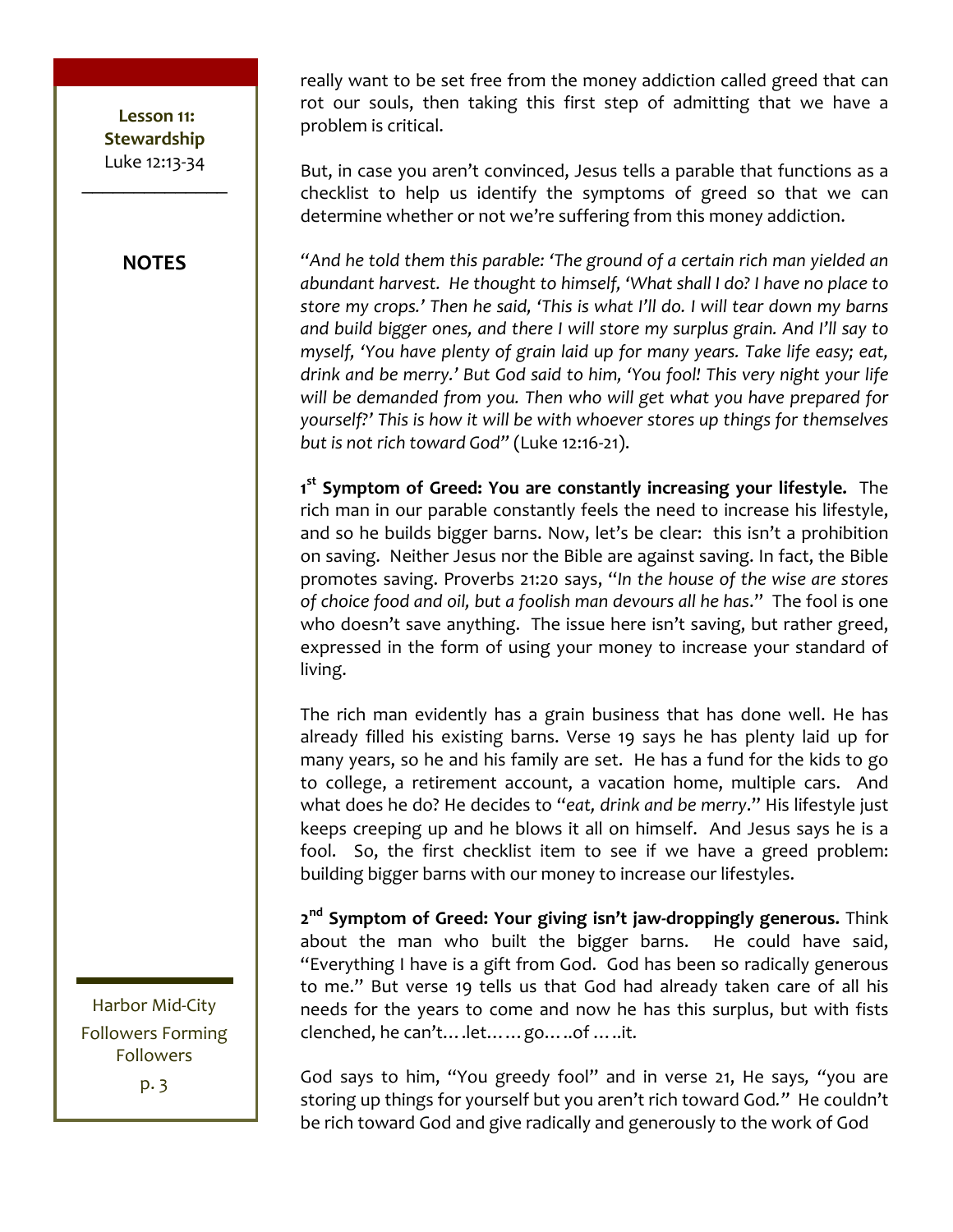**NOTES**

really want to be set free from the money addiction called greed that can rot our souls, then taking this first step of admitting that we have a problem is critical.

But, in case you aren't convinced, Jesus tells a parable that functions as a checklist to help us identify the symptoms of greed so that we can determine whether or not we're suffering from this money addiction.

**"And he told them this parable: 'The ground of a certain rich man yielded an** *abundant harvest.* He thought to himself, 'What shall I do? I have no place to *store* my crops.' Then he said, 'This is what I'll do. I will tear down my barns and build bigger ones, and there I will store my surplus grain. And I'll say to *myself, 'You have plenty of grain laid up for many years. Take life easy; eat, drink and be merry.'* But God said to him, 'You fool! This very night your life will be demanded from you. Then who will get what you have prepared for *yourself?'* This is how it will be with whoever stores up things for themselves *but is not rich toward God"* (Luke 12:16-21).

1<sup>st</sup> Symptom of Greed: You are constantly increasing your lifestyle. The rich man in our parable constantly feels the need to increase his lifestyle, and so he builds bigger barns. Now, let's be clear: this isn't a prohibition on saving. Neither Jesus nor the Bible are against saving. In fact, the Bible promotes saving. Proverbs 21:20 says, "In the house of the wise are stores of choice food and oil, but a foolish man devours all he has." The fool is one who doesn't save anything. The issue here isn't saving, but rather greed, expressed in the form of using your money to increase your standard of living. 

The rich man evidently has a grain business that has done well. He has already filled his existing barns. Verse 19 says he has plenty laid up for many years, so he and his family are set. He has a fund for the kids to go to college, a retirement account, a vacation home, multiple cars. And what does he do? He decides to "eat, drink and be merry." His lifestyle just keeps creeping up and he blows it all on himself. And Jesus says he is a fool. So, the first checklist item to see if we have a greed problem: building bigger barns with our money to increase our lifestyles.

**2nd Symptom of Greed: Your giving isn't jaw-droppingly generous.** Think about the man who built the bigger barns. He could have said, "Everything I have is a gift from God. God has been so radically generous to me." But verse 19 tells us that God had already taken care of all his needs for the years to come and now he has this surplus, but with fists clenched, he can't....let......go.....of .....it.

God says to him, "You greedy fool" and in verse 21, He says, "you are storing up things for yourself but you aren't rich toward God." He couldn't be rich toward God and give radically and generously to the work of God

Harbor Mid-City Followers Forming Followers

p. 3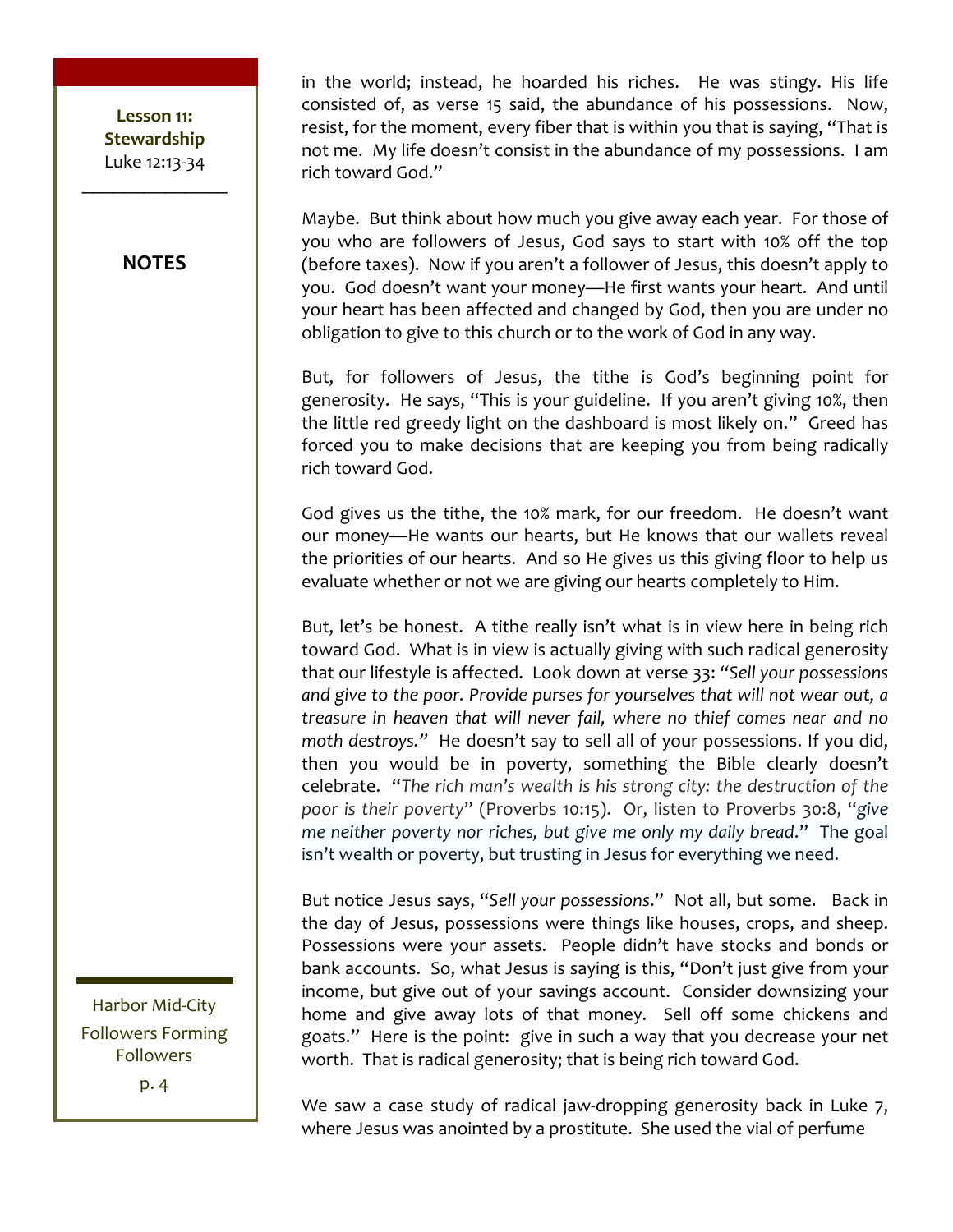**NOTES**

in the world; instead, he hoarded his riches. He was stingy. His life consisted of, as verse 15 said, the abundance of his possessions. Now, resist, for the moment, every fiber that is within you that is saying, "That is not me. My life doesn't consist in the abundance of my possessions. I am rich toward God."

Maybe. But think about how much you give away each year. For those of you who are followers of Jesus, God says to start with 10% off the top (before taxes). Now if you aren't a follower of Jesus, this doesn't apply to you. God doesn't want your money—He first wants your heart. And until your heart has been affected and changed by God, then you are under no obligation to give to this church or to the work of God in any way.

But, for followers of Jesus, the tithe is God's beginning point for generosity. He says, "This is your guideline. If you aren't giving 10%, then the little red greedy light on the dashboard is most likely on." Greed has forced you to make decisions that are keeping you from being radically rich toward God.

God gives us the tithe, the 10% mark, for our freedom. He doesn't want our money—He wants our hearts, but He knows that our wallets reveal the priorities of our hearts. And so He gives us this giving floor to help us evaluate whether or not we are giving our hearts completely to Him.

But, let's be honest. A tithe really isn't what is in view here in being rich toward God. What is in view is actually giving with such radical generosity that our lifestyle is affected. Look down at verse 33: "Sell your possessions and give to the poor. Provide purses for yourselves that will not wear out, a *treasure in heaven that will never fail, where no thief comes near and no* moth destroys." He doesn't say to sell all of your possessions. If you did, then you would be in poverty, something the Bible clearly doesn't celebrate. "The rich man's wealth is his strong city: the destruction of the *poor* is their poverty" (Proverbs 10:15). Or, listen to Proverbs 30:8, "give *me* neither poverty nor riches, but give me only my daily bread." The goal isn't wealth or poverty, but trusting in Jesus for everything we need.

But notice Jesus says, "Sell your possessions." Not all, but some. Back in the day of Jesus, possessions were things like houses, crops, and sheep. Possessions were your assets. People didn't have stocks and bonds or bank accounts. So, what Jesus is saying is this, "Don't just give from your income, but give out of your savings account. Consider downsizing your home and give away lots of that money. Sell off some chickens and goats." Here is the point: give in such a way that you decrease your net worth. That is radical generosity; that is being rich toward God.

Harbor Mid-City Followers Forming Followers

p. 4

We saw a case study of radical jaw-dropping generosity back in Luke 7, where Jesus was anointed by a prostitute. She used the vial of perfume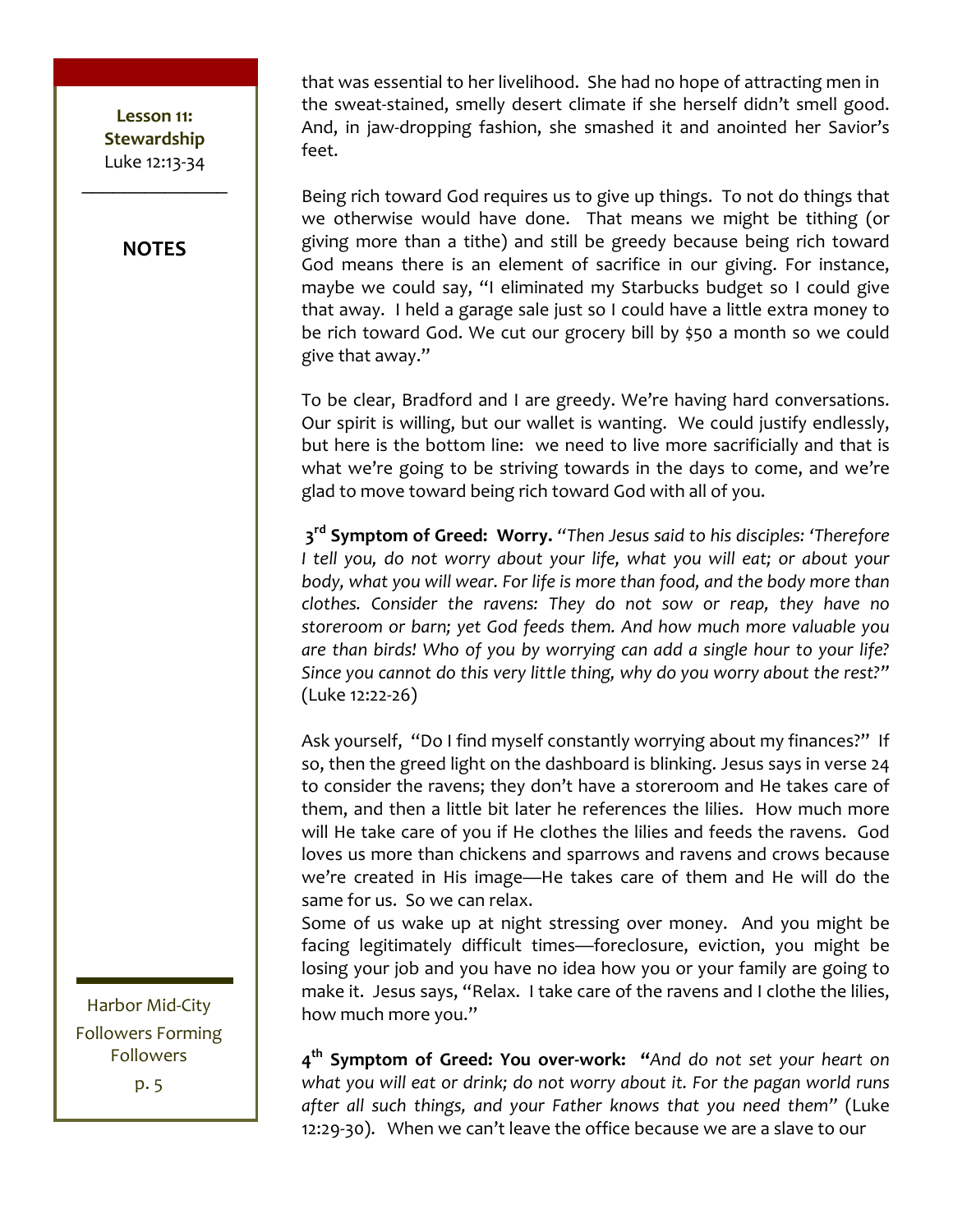**NOTES**

that was essential to her livelihood. She had no hope of attracting men in the sweat-stained, smelly desert climate if she herself didn't smell good. And, in jaw-dropping fashion, she smashed it and anointed her Savior's feet.

Being rich toward God requires us to give up things. To not do things that we otherwise would have done. That means we might be tithing (or giving more than a tithe) and still be greedy because being rich toward God means there is an element of sacrifice in our giving. For instance, maybe we could say, "I eliminated my Starbucks budget so I could give that away. I held a garage sale just so I could have a little extra money to be rich toward God. We cut our grocery bill by \$50 a month so we could give that away."

To be clear, Bradford and I are greedy. We're having hard conversations. Our spirit is willing, but our wallet is wanting. We could justify endlessly, but here is the bottom line: we need to live more sacrificially and that is what we're going to be striving towards in the days to come, and we're glad to move toward being rich toward God with all of you.

**3<sup>rd</sup> Symptom of Greed: Worry.** "Then Jesus said to his disciples: 'Therefore I tell you, do not worry about your life, what you will eat; or about your *body, what you will wear. For life is more than food, and the body more than clothes.* Consider the ravens: They do not sow or reap, they have no storeroom or barn; yet God feeds them. And how much more valuable you *are than birds!* Who of you by worrying can add a single hour to your life? Since you cannot do this very little thing, why do you worry about the rest?" (Luke 12:22-26)

Ask yourself, "Do I find myself constantly worrying about my finances?" If so, then the greed light on the dashboard is blinking. Jesus says in verse 24 to consider the ravens; they don't have a storeroom and He takes care of them, and then a little bit later he references the lilies. How much more will He take care of you if He clothes the lilies and feeds the ravens. God loves us more than chickens and sparrows and ravens and crows because we're created in His image—He takes care of them and He will do the same for us. So we can relax.

Some of us wake up at night stressing over money. And you might be facing legitimately difficult times—foreclosure, eviction, you might be losing your job and you have no idea how you or your family are going to make it. Jesus says, "Relax. I take care of the ravens and I clothe the lilies, how much more you."

4<sup>th</sup> **Symptom of Greed: You over-work:** "And do not set your heart on what you will eat or drink; do not worry about it. For the pagan world runs after all such things, and your Father knows that you need them" (Luke 12:29-30). When we can't leave the office because we are a slave to our

Harbor Mid-City Followers Forming **Followers** p. 5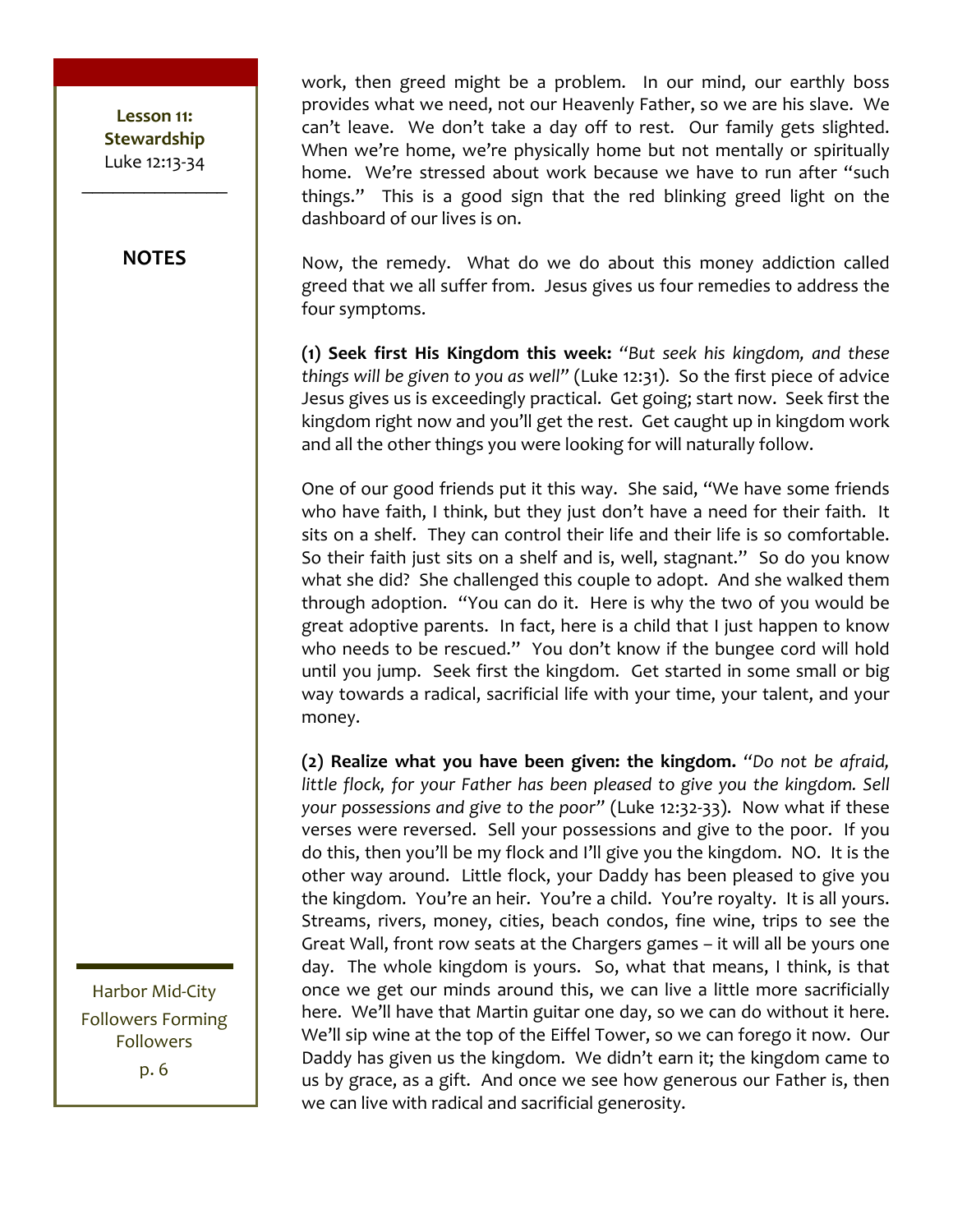#### **NOTES**

work, then greed might be a problem. In our mind, our earthly boss provides what we need, not our Heavenly Father, so we are his slave. We can't leave. We don't take a day off to rest. Our family gets slighted. When we're home, we're physically home but not mentally or spiritually home. We're stressed about work because we have to run after "such things." This is a good sign that the red blinking greed light on the dashboard of our lives is on.

Now, the remedy. What do we do about this money addiction called greed that we all suffer from. Jesus gives us four remedies to address the four symptoms.

**(1) Seek first His Kingdom this week:** "But seek his kingdom, and these *things* will be given to you as well" (Luke 12:31). So the first piece of advice Jesus gives us is exceedingly practical. Get going; start now. Seek first the kingdom right now and you'll get the rest. Get caught up in kingdom work and all the other things you were looking for will naturally follow.

One of our good friends put it this way. She said, "We have some friends who have faith, I think, but they just don't have a need for their faith. It sits on a shelf. They can control their life and their life is so comfortable. So their faith just sits on a shelf and is, well, stagnant." So do you know what she did? She challenged this couple to adopt. And she walked them through adoption. "You can do it. Here is why the two of you would be great adoptive parents. In fact, here is a child that I just happen to know who needs to be rescued." You don't know if the bungee cord will hold until you jump. Seek first the kingdom. Get started in some small or big way towards a radical, sacrificial life with your time, your talent, and your money.

**(2)** Realize what you have been given: the kingdom. "Do not be afraid, *little flock, for your Father has been pleased to give you the kingdom. Sell your possessions and give to the poor"* (Luke 12:32-33). Now what if these verses were reversed. Sell your possessions and give to the poor. If you do this, then you'll be my flock and I'll give you the kingdom. NO. It is the other way around. Little flock, your Daddy has been pleased to give you the kingdom. You're an heir. You're a child. You're royalty. It is all yours. Streams, rivers, money, cities, beach condos, fine wine, trips to see the Great Wall, front row seats at the Chargers games - it will all be yours one day. The whole kingdom is yours. So, what that means, I think, is that once we get our minds around this, we can live a little more sacrificially here. We'll have that Martin guitar one day, so we can do without it here. We'll sip wine at the top of the Eiffel Tower, so we can forego it now. Our Daddy has given us the kingdom. We didn't earn it; the kingdom came to us by grace, as a gift. And once we see how generous our Father is, then we can live with radical and sacrificial generosity.

Harbor Mid-City Followers Forming Followers p. 6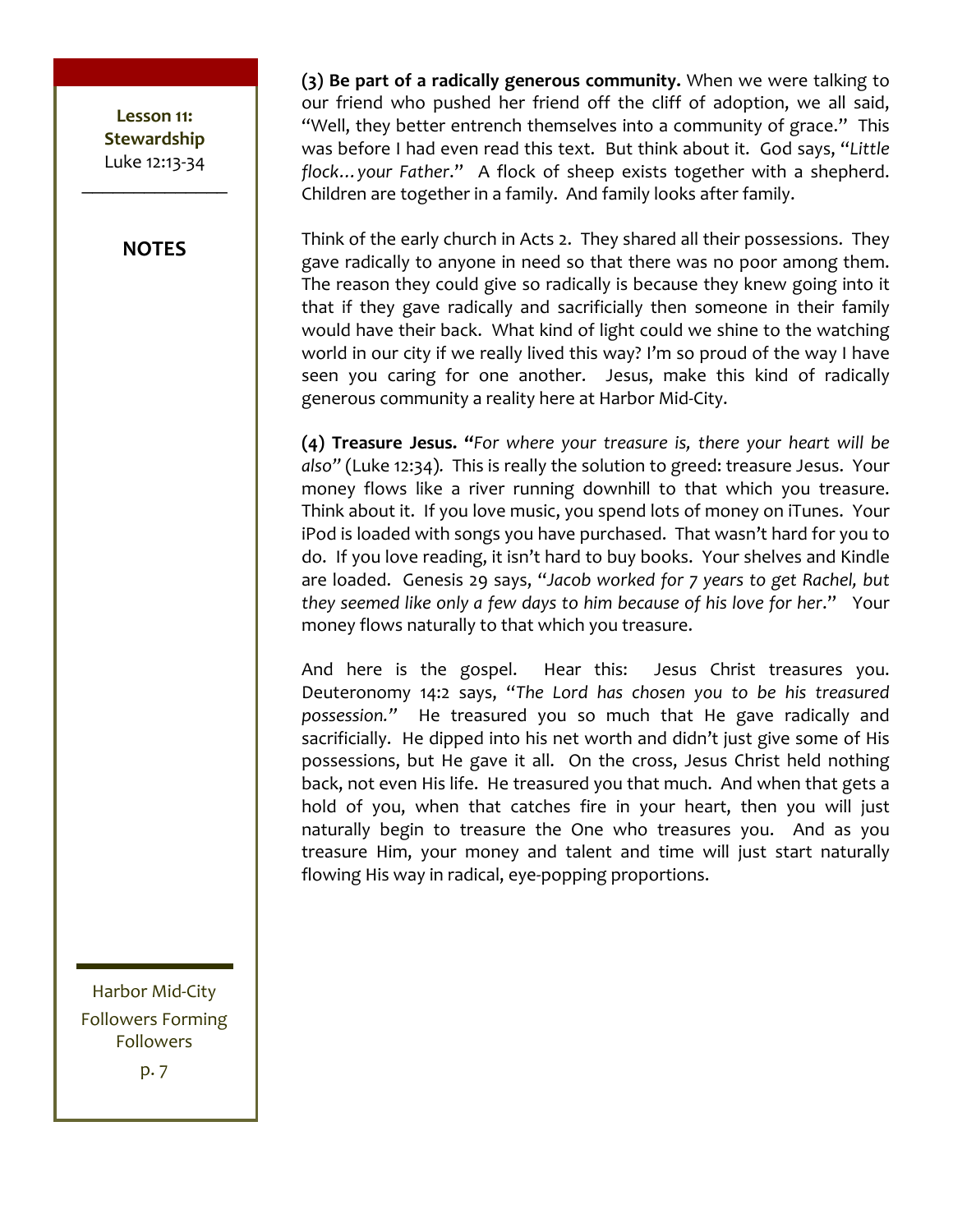#### **NOTES**

**(3)** Be part of a radically generous community. When we were talking to our friend who pushed her friend off the cliff of adoption, we all said, "Well, they better entrench themselves into a community of grace." This was before I had even read this text. But think about it. God says, "Little flock... your Father." A flock of sheep exists together with a shepherd. Children are together in a family. And family looks after family.

Think of the early church in Acts 2. They shared all their possessions. They gave radically to anyone in need so that there was no poor among them. The reason they could give so radically is because they knew going into it that if they gave radically and sacrificially then someone in their family would have their back. What kind of light could we shine to the watching world in our city if we really lived this way? I'm so proud of the way I have seen you caring for one another. Jesus, make this kind of radically generous community a reality here at Harbor Mid-City.

**(4) Treasure Jesus.** "For where your treasure is, there your heart will be also" (Luke 12:34). This is really the solution to greed: treasure Jesus. Your money flows like a river running downhill to that which you treasure. Think about it. If you love music, you spend lots of money on iTunes. Your iPod is loaded with songs you have purchased. That wasn't hard for you to do. If you love reading, it isn't hard to buy books. Your shelves and Kindle are loaded. Genesis 29 says, "Jacob worked for 7 years to get Rachel, but *they seemed like only a few days to him because of his love for her.*" Your money flows naturally to that which you treasure.

And here is the gospel. Hear this: Jesus Christ treasures you. Deuteronomy 14:2 says, "The Lord has chosen you to be his treasured possession." He treasured you so much that He gave radically and sacrificially. He dipped into his net worth and didn't just give some of His possessions, but He gave it all. On the cross, Jesus Christ held nothing back, not even His life. He treasured you that much. And when that gets a hold of you, when that catches fire in your heart, then you will just naturally begin to treasure the One who treasures you. And as you treasure Him, your money and talent and time will just start naturally flowing His way in radical, eye-popping proportions.

Harbor Mid-City Followers Forming Followers p. 7